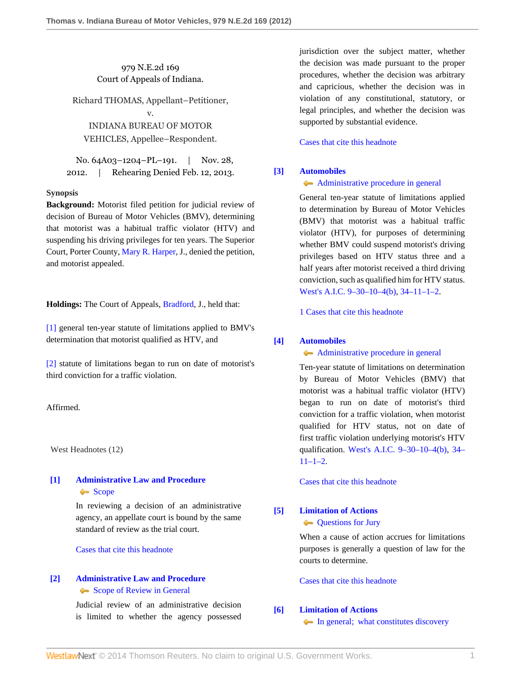979 N.E.2d 169 Court of Appeals of Indiana.

Richard THOMAS, Appellant–Petitioner,

v. INDIANA BUREAU OF MOTOR VEHICLES, Appellee–Respondent.

No. 64A03–1204–PL–191. | Nov. 28, 2012. | Rehearing Denied Feb. 12, 2013.

# **Synopsis**

**Background:** Motorist filed petition for judicial review of decision of Bureau of Motor Vehicles (BMV), determining that motorist was a habitual traffic violator (HTV) and suspending his driving privileges for ten years. The Superior Court, Porter County, [Mary R. Harper](http://www.westlaw.com/Link/Document/FullText?findType=h&pubNum=176284&cite=0162279802&originatingDoc=I810a26eb399611e28a21ccb9036b2470&refType=RQ&originationContext=document&vr=3.0&rs=cblt1.0&transitionType=DocumentItem&contextData=(sc.Search)), J., denied the petition, and motorist appealed.

**Holdings:** The Court of Appeals, [Bradford](http://www.westlaw.com/Link/Document/FullText?findType=h&pubNum=176284&cite=0117178901&originatingDoc=I810a26eb399611e28a21ccb9036b2470&refType=RQ&originationContext=document&vr=3.0&rs=cblt1.0&transitionType=DocumentItem&contextData=(sc.Search)), J., held that:

[\[1\]](#page-0-0) general ten-year statute of limitations applied to BMV's determination that motorist qualified as HTV, and

[\[2\]](#page-0-1) statute of limitations began to run on date of motorist's third conviction for a traffic violation.

# Affirmed.

West Headnotes (12)

# <span id="page-0-2"></span>**[\[1\]](#page-2-0) [Administrative Law and Procedure](http://www.westlaw.com/Browse/Home/KeyNumber/15A/View.html?docGuid=I810a26eb399611e28a21ccb9036b2470&originationContext=document&vr=3.0&rs=cblt1.0&transitionType=DocumentItem&contextData=(sc.Search))** [Scope](http://www.westlaw.com/Browse/Home/KeyNumber/15Ak683/View.html?docGuid=I810a26eb399611e28a21ccb9036b2470&originationContext=document&vr=3.0&rs=cblt1.0&transitionType=DocumentItem&contextData=(sc.Search))

In reviewing a decision of an administrative agency, an appellate court is bound by the same standard of review as the trial court.

[Cases that cite this headnote](http://www.westlaw.com/Link/RelatedInformation/DocHeadnoteLink?docGuid=I810a26eb399611e28a21ccb9036b2470&headnoteId=202929225400120130407204441&originationContext=document&vr=3.0&rs=cblt1.0&transitionType=CitingReferences&contextData=(sc.Search))

# <span id="page-0-3"></span>**[\[2\]](#page-2-1) [Administrative Law and Procedure](http://www.westlaw.com/Browse/Home/KeyNumber/15A/View.html?docGuid=I810a26eb399611e28a21ccb9036b2470&originationContext=document&vr=3.0&rs=cblt1.0&transitionType=DocumentItem&contextData=(sc.Search))** [Scope of Review in General](http://www.westlaw.com/Browse/Home/KeyNumber/15AV(D)/View.html?docGuid=I810a26eb399611e28a21ccb9036b2470&originationContext=document&vr=3.0&rs=cblt1.0&transitionType=DocumentItem&contextData=(sc.Search))

Judicial review of an administrative decision is limited to whether the agency possessed jurisdiction over the subject matter, whether the decision was made pursuant to the proper procedures, whether the decision was arbitrary and capricious, whether the decision was in violation of any constitutional, statutory, or legal principles, and whether the decision was supported by substantial evidence.

[Cases that cite this headnote](http://www.westlaw.com/Link/RelatedInformation/DocHeadnoteLink?docGuid=I810a26eb399611e28a21ccb9036b2470&headnoteId=202929225400220130407204441&originationContext=document&vr=3.0&rs=cblt1.0&transitionType=CitingReferences&contextData=(sc.Search))

# <span id="page-0-0"></span>**[\[3\]](#page-2-2) [Automobiles](http://www.westlaw.com/Browse/Home/KeyNumber/48A/View.html?docGuid=I810a26eb399611e28a21ccb9036b2470&originationContext=document&vr=3.0&rs=cblt1.0&transitionType=DocumentItem&contextData=(sc.Search))**

## [Administrative procedure in general](http://www.westlaw.com/Browse/Home/KeyNumber/48Ak144.2(1)/View.html?docGuid=I810a26eb399611e28a21ccb9036b2470&originationContext=document&vr=3.0&rs=cblt1.0&transitionType=DocumentItem&contextData=(sc.Search))

General ten-year statute of limitations applied to determination by Bureau of Motor Vehicles (BMV) that motorist was a habitual traffic violator (HTV), for purposes of determining whether BMV could suspend motorist's driving privileges based on HTV status three and a half years after motorist received a third driving conviction, such as qualified him for HTV status. [West's A.I.C. 9–30–10–4\(b\)](http://www.westlaw.com/Link/Document/FullText?findType=L&pubNum=1000009&cite=INS9-30-10-4&originatingDoc=I810a26eb399611e28a21ccb9036b2470&refType=SP&originationContext=document&vr=3.0&rs=cblt1.0&transitionType=DocumentItem&contextData=(sc.Search)#co_pp_a83b000018c76), [34–11–1–2](http://www.westlaw.com/Link/Document/FullText?findType=L&pubNum=1000009&cite=INS34-11-1-2&originatingDoc=I810a26eb399611e28a21ccb9036b2470&refType=LQ&originationContext=document&vr=3.0&rs=cblt1.0&transitionType=DocumentItem&contextData=(sc.Search)).

[1 Cases that cite this headnote](http://www.westlaw.com/Link/RelatedInformation/DocHeadnoteLink?docGuid=I810a26eb399611e28a21ccb9036b2470&headnoteId=202929225400320130407204441&originationContext=document&vr=3.0&rs=cblt1.0&transitionType=CitingReferences&contextData=(sc.Search))

## <span id="page-0-1"></span>**[\[4\]](#page-3-0) [Automobiles](http://www.westlaw.com/Browse/Home/KeyNumber/48A/View.html?docGuid=I810a26eb399611e28a21ccb9036b2470&originationContext=document&vr=3.0&rs=cblt1.0&transitionType=DocumentItem&contextData=(sc.Search))**

[Administrative procedure in general](http://www.westlaw.com/Browse/Home/KeyNumber/48Ak144.2(1)/View.html?docGuid=I810a26eb399611e28a21ccb9036b2470&originationContext=document&vr=3.0&rs=cblt1.0&transitionType=DocumentItem&contextData=(sc.Search))

Ten-year statute of limitations on determination by Bureau of Motor Vehicles (BMV) that motorist was a habitual traffic violator (HTV) began to run on date of motorist's third conviction for a traffic violation, when motorist qualified for HTV status, not on date of first traffic violation underlying motorist's HTV qualification. [West's A.I.C. 9–30–10–4\(b\)](http://www.westlaw.com/Link/Document/FullText?findType=L&pubNum=1000009&cite=INS9-30-10-4&originatingDoc=I810a26eb399611e28a21ccb9036b2470&refType=SP&originationContext=document&vr=3.0&rs=cblt1.0&transitionType=DocumentItem&contextData=(sc.Search)#co_pp_a83b000018c76), [34–](http://www.westlaw.com/Link/Document/FullText?findType=L&pubNum=1000009&cite=INS34-11-1-2&originatingDoc=I810a26eb399611e28a21ccb9036b2470&refType=LQ&originationContext=document&vr=3.0&rs=cblt1.0&transitionType=DocumentItem&contextData=(sc.Search))  $11-1-2$ .

[Cases that cite this headnote](http://www.westlaw.com/Link/RelatedInformation/DocHeadnoteLink?docGuid=I810a26eb399611e28a21ccb9036b2470&headnoteId=202929225400420130407204441&originationContext=document&vr=3.0&rs=cblt1.0&transitionType=CitingReferences&contextData=(sc.Search))

# <span id="page-0-4"></span>**[\[5\]](#page-3-1) [Limitation of Actions](http://www.westlaw.com/Browse/Home/KeyNumber/241/View.html?docGuid=I810a26eb399611e28a21ccb9036b2470&originationContext=document&vr=3.0&rs=cblt1.0&transitionType=DocumentItem&contextData=(sc.Search))**

**[Questions for Jury](http://www.westlaw.com/Browse/Home/KeyNumber/241k199/View.html?docGuid=I810a26eb399611e28a21ccb9036b2470&originationContext=document&vr=3.0&rs=cblt1.0&transitionType=DocumentItem&contextData=(sc.Search))** 

When a cause of action accrues for limitations purposes is generally a question of law for the courts to determine.

[Cases that cite this headnote](http://www.westlaw.com/Link/RelatedInformation/DocHeadnoteLink?docGuid=I810a26eb399611e28a21ccb9036b2470&headnoteId=202929225400520130407204441&originationContext=document&vr=3.0&rs=cblt1.0&transitionType=CitingReferences&contextData=(sc.Search))

# <span id="page-0-5"></span>**[\[6\]](#page-3-2) [Limitation of Actions](http://www.westlaw.com/Browse/Home/KeyNumber/241/View.html?docGuid=I810a26eb399611e28a21ccb9036b2470&originationContext=document&vr=3.0&rs=cblt1.0&transitionType=DocumentItem&contextData=(sc.Search))**

[In general; what constitutes discovery](http://www.westlaw.com/Browse/Home/KeyNumber/241k95(1)/View.html?docGuid=I810a26eb399611e28a21ccb9036b2470&originationContext=document&vr=3.0&rs=cblt1.0&transitionType=DocumentItem&contextData=(sc.Search))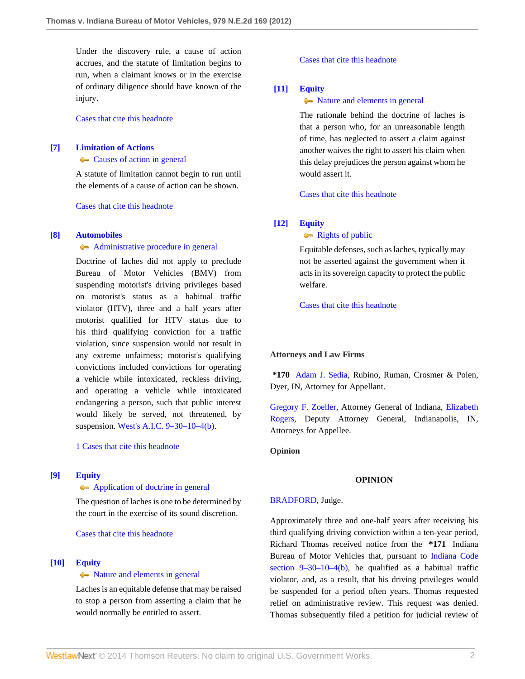Under the discovery rule, a cause of action accrues, and the statute of limitation begins to run, when a claimant knows or in the exercise of ordinary diligence should have known of the injury.

[Cases that cite this headnote](http://www.westlaw.com/Link/RelatedInformation/DocHeadnoteLink?docGuid=I810a26eb399611e28a21ccb9036b2470&headnoteId=202929225400620130407204441&originationContext=document&vr=3.0&rs=cblt1.0&transitionType=CitingReferences&contextData=(sc.Search))

# <span id="page-1-0"></span>**[\[7\]](#page-3-3) [Limitation of Actions](http://www.westlaw.com/Browse/Home/KeyNumber/241/View.html?docGuid=I810a26eb399611e28a21ccb9036b2470&originationContext=document&vr=3.0&rs=cblt1.0&transitionType=DocumentItem&contextData=(sc.Search))**

[Causes of action in general](http://www.westlaw.com/Browse/Home/KeyNumber/241k43/View.html?docGuid=I810a26eb399611e28a21ccb9036b2470&originationContext=document&vr=3.0&rs=cblt1.0&transitionType=DocumentItem&contextData=(sc.Search))

A statute of limitation cannot begin to run until the elements of a cause of action can be shown.

[Cases that cite this headnote](http://www.westlaw.com/Link/RelatedInformation/DocHeadnoteLink?docGuid=I810a26eb399611e28a21ccb9036b2470&headnoteId=202929225400720130407204441&originationContext=document&vr=3.0&rs=cblt1.0&transitionType=CitingReferences&contextData=(sc.Search))

#### <span id="page-1-1"></span>**[\[8\]](#page-3-4) [Automobiles](http://www.westlaw.com/Browse/Home/KeyNumber/48A/View.html?docGuid=I810a26eb399611e28a21ccb9036b2470&originationContext=document&vr=3.0&rs=cblt1.0&transitionType=DocumentItem&contextData=(sc.Search))**

## [Administrative procedure in general](http://www.westlaw.com/Browse/Home/KeyNumber/48Ak144.2(1)/View.html?docGuid=I810a26eb399611e28a21ccb9036b2470&originationContext=document&vr=3.0&rs=cblt1.0&transitionType=DocumentItem&contextData=(sc.Search))

Doctrine of laches did not apply to preclude Bureau of Motor Vehicles (BMV) from suspending motorist's driving privileges based on motorist's status as a habitual traffic violator (HTV), three and a half years after motorist qualified for HTV status due to his third qualifying conviction for a traffic violation, since suspension would not result in any extreme unfairness; motorist's qualifying convictions included convictions for operating a vehicle while intoxicated, reckless driving, and operating a vehicle while intoxicated endangering a person, such that public interest would likely be served, not threatened, by suspension. [West's A.I.C. 9–30–10–4\(b\)](http://www.westlaw.com/Link/Document/FullText?findType=L&pubNum=1000009&cite=INS9-30-10-4&originatingDoc=I810a26eb399611e28a21ccb9036b2470&refType=SP&originationContext=document&vr=3.0&rs=cblt1.0&transitionType=DocumentItem&contextData=(sc.Search)#co_pp_a83b000018c76).

[1 Cases that cite this headnote](http://www.westlaw.com/Link/RelatedInformation/DocHeadnoteLink?docGuid=I810a26eb399611e28a21ccb9036b2470&headnoteId=202929225400820130407204441&originationContext=document&vr=3.0&rs=cblt1.0&transitionType=CitingReferences&contextData=(sc.Search))

# <span id="page-1-2"></span>**[\[9\]](#page-3-5) [Equity](http://www.westlaw.com/Browse/Home/KeyNumber/150/View.html?docGuid=I810a26eb399611e28a21ccb9036b2470&originationContext=document&vr=3.0&rs=cblt1.0&transitionType=DocumentItem&contextData=(sc.Search))**

#### [Application of doctrine in general](http://www.westlaw.com/Browse/Home/KeyNumber/150k84/View.html?docGuid=I810a26eb399611e28a21ccb9036b2470&originationContext=document&vr=3.0&rs=cblt1.0&transitionType=DocumentItem&contextData=(sc.Search))

The question of laches is one to be determined by the court in the exercise of its sound discretion.

[Cases that cite this headnote](http://www.westlaw.com/Link/RelatedInformation/DocHeadnoteLink?docGuid=I810a26eb399611e28a21ccb9036b2470&headnoteId=202929225400920130407204441&originationContext=document&vr=3.0&rs=cblt1.0&transitionType=CitingReferences&contextData=(sc.Search))

#### <span id="page-1-3"></span>**[\[10\]](#page-3-6) [Equity](http://www.westlaw.com/Browse/Home/KeyNumber/150/View.html?docGuid=I810a26eb399611e28a21ccb9036b2470&originationContext=document&vr=3.0&rs=cblt1.0&transitionType=DocumentItem&contextData=(sc.Search))**

#### $\bullet$  [Nature and elements in general](http://www.westlaw.com/Browse/Home/KeyNumber/150k67/View.html?docGuid=I810a26eb399611e28a21ccb9036b2470&originationContext=document&vr=3.0&rs=cblt1.0&transitionType=DocumentItem&contextData=(sc.Search))

Laches is an equitable defense that may be raised to stop a person from asserting a claim that he would normally be entitled to assert.

[Cases that cite this headnote](http://www.westlaw.com/Link/RelatedInformation/DocHeadnoteLink?docGuid=I810a26eb399611e28a21ccb9036b2470&headnoteId=202929225401020130407204441&originationContext=document&vr=3.0&rs=cblt1.0&transitionType=CitingReferences&contextData=(sc.Search))

### <span id="page-1-4"></span>**[\[11\]](#page-3-7) [Equity](http://www.westlaw.com/Browse/Home/KeyNumber/150/View.html?docGuid=I810a26eb399611e28a21ccb9036b2470&originationContext=document&vr=3.0&rs=cblt1.0&transitionType=DocumentItem&contextData=(sc.Search))**

# $\bullet\bullet\$  [Nature and elements in general](http://www.westlaw.com/Browse/Home/KeyNumber/150k67/View.html?docGuid=I810a26eb399611e28a21ccb9036b2470&originationContext=document&vr=3.0&rs=cblt1.0&transitionType=DocumentItem&contextData=(sc.Search))

The rationale behind the doctrine of laches is that a person who, for an unreasonable length of time, has neglected to assert a claim against another waives the right to assert his claim when this delay prejudices the person against whom he would assert it.

[Cases that cite this headnote](http://www.westlaw.com/Link/RelatedInformation/DocHeadnoteLink?docGuid=I810a26eb399611e28a21ccb9036b2470&headnoteId=202929225401120130407204441&originationContext=document&vr=3.0&rs=cblt1.0&transitionType=CitingReferences&contextData=(sc.Search))

# <span id="page-1-5"></span>**[\[12\]](#page-3-8) [Equity](http://www.westlaw.com/Browse/Home/KeyNumber/150/View.html?docGuid=I810a26eb399611e28a21ccb9036b2470&originationContext=document&vr=3.0&rs=cblt1.0&transitionType=DocumentItem&contextData=(sc.Search))**

### [Rights of public](http://www.westlaw.com/Browse/Home/KeyNumber/150k85/View.html?docGuid=I810a26eb399611e28a21ccb9036b2470&originationContext=document&vr=3.0&rs=cblt1.0&transitionType=DocumentItem&contextData=(sc.Search))

Equitable defenses, such as laches, typically may not be asserted against the government when it acts in its sovereign capacity to protect the public welfare.

[Cases that cite this headnote](http://www.westlaw.com/Link/RelatedInformation/DocHeadnoteLink?docGuid=I810a26eb399611e28a21ccb9036b2470&headnoteId=202929225401220130407204441&originationContext=document&vr=3.0&rs=cblt1.0&transitionType=CitingReferences&contextData=(sc.Search))

#### **Attorneys and Law Firms**

**\*170** [Adam J. Sedia,](http://www.westlaw.com/Link/Document/FullText?findType=h&pubNum=176284&cite=0436973501&originatingDoc=I810a26eb399611e28a21ccb9036b2470&refType=RQ&originationContext=document&vr=3.0&rs=cblt1.0&transitionType=DocumentItem&contextData=(sc.Search)) Rubino, Ruman, Crosmer & Polen, Dyer, IN, Attorney for Appellant.

[Gregory F. Zoeller](http://www.westlaw.com/Link/Document/FullText?findType=h&pubNum=176284&cite=0136038801&originatingDoc=I810a26eb399611e28a21ccb9036b2470&refType=RQ&originationContext=document&vr=3.0&rs=cblt1.0&transitionType=DocumentItem&contextData=(sc.Search)), Attorney General of Indiana, [Elizabeth](http://www.westlaw.com/Link/Document/FullText?findType=h&pubNum=176284&cite=0464289701&originatingDoc=I810a26eb399611e28a21ccb9036b2470&refType=RQ&originationContext=document&vr=3.0&rs=cblt1.0&transitionType=DocumentItem&contextData=(sc.Search)) [Rogers](http://www.westlaw.com/Link/Document/FullText?findType=h&pubNum=176284&cite=0464289701&originatingDoc=I810a26eb399611e28a21ccb9036b2470&refType=RQ&originationContext=document&vr=3.0&rs=cblt1.0&transitionType=DocumentItem&contextData=(sc.Search)), Deputy Attorney General, Indianapolis, IN, Attorneys for Appellee.

**Opinion**

# **OPINION**

#### [BRADFORD](http://www.westlaw.com/Link/Document/FullText?findType=h&pubNum=176284&cite=0117178901&originatingDoc=I810a26eb399611e28a21ccb9036b2470&refType=RQ&originationContext=document&vr=3.0&rs=cblt1.0&transitionType=DocumentItem&contextData=(sc.Search)), Judge.

Approximately three and one-half years after receiving his third qualifying driving conviction within a ten-year period, Richard Thomas received notice from the **\*171** Indiana Bureau of Motor Vehicles that, pursuant to [Indiana Code](http://www.westlaw.com/Link/Document/FullText?findType=L&pubNum=1000009&cite=INS9-30-10-4&originatingDoc=I810a26eb399611e28a21ccb9036b2470&refType=SP&originationContext=document&vr=3.0&rs=cblt1.0&transitionType=DocumentItem&contextData=(sc.Search)#co_pp_a83b000018c76) [section 9–30–10–4\(b\),](http://www.westlaw.com/Link/Document/FullText?findType=L&pubNum=1000009&cite=INS9-30-10-4&originatingDoc=I810a26eb399611e28a21ccb9036b2470&refType=SP&originationContext=document&vr=3.0&rs=cblt1.0&transitionType=DocumentItem&contextData=(sc.Search)#co_pp_a83b000018c76) he qualified as a habitual traffic violator, and, as a result, that his driving privileges would be suspended for a period often years. Thomas requested relief on administrative review. This request was denied. Thomas subsequently filed a petition for judicial review of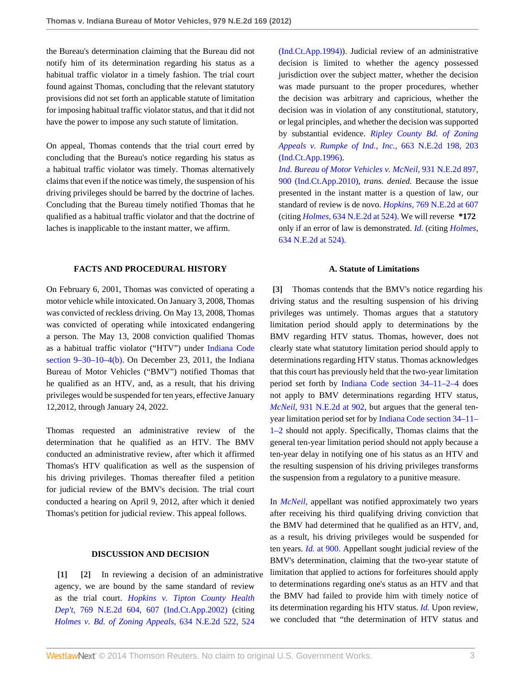the Bureau's determination claiming that the Bureau did not notify him of its determination regarding his status as a habitual traffic violator in a timely fashion. The trial court found against Thomas, concluding that the relevant statutory provisions did not set forth an applicable statute of limitation for imposing habitual traffic violator status, and that it did not have the power to impose any such statute of limitation.

On appeal, Thomas contends that the trial court erred by concluding that the Bureau's notice regarding his status as a habitual traffic violator was timely. Thomas alternatively claims that even if the notice was timely, the suspension of his driving privileges should be barred by the doctrine of laches. Concluding that the Bureau timely notified Thomas that he qualified as a habitual traffic violator and that the doctrine of laches is inapplicable to the instant matter, we affirm.

# **FACTS AND PROCEDURAL HISTORY**

On February 6, 2001, Thomas was convicted of operating a motor vehicle while intoxicated. On January 3, 2008, Thomas was convicted of reckless driving. On May 13, 2008, Thomas was convicted of operating while intoxicated endangering a person. The May 13, 2008 conviction qualified Thomas as a habitual traffic violator ("HTV") under [Indiana Code](http://www.westlaw.com/Link/Document/FullText?findType=L&pubNum=1000009&cite=INS9-30-10-4&originatingDoc=I810a26eb399611e28a21ccb9036b2470&refType=SP&originationContext=document&vr=3.0&rs=cblt1.0&transitionType=DocumentItem&contextData=(sc.Search)#co_pp_a83b000018c76) [section 9–30–10–4\(b\).](http://www.westlaw.com/Link/Document/FullText?findType=L&pubNum=1000009&cite=INS9-30-10-4&originatingDoc=I810a26eb399611e28a21ccb9036b2470&refType=SP&originationContext=document&vr=3.0&rs=cblt1.0&transitionType=DocumentItem&contextData=(sc.Search)#co_pp_a83b000018c76) On December 23, 2011, the Indiana Bureau of Motor Vehicles ("BMV") notified Thomas that he qualified as an HTV, and, as a result, that his driving privileges would be suspended for ten years, effective January 12,2012, through January 24, 2022.

Thomas requested an administrative review of the determination that he qualified as an HTV. The BMV conducted an administrative review, after which it affirmed Thomas's HTV qualification as well as the suspension of his driving privileges. Thomas thereafter filed a petition for judicial review of the BMV's decision. The trial court conducted a hearing on April 9, 2012, after which it denied Thomas's petition for judicial review. This appeal follows.

## <span id="page-2-1"></span>**DISCUSSION AND DECISION**

<span id="page-2-0"></span>**[\[1\]](#page-0-2) [\[2\]](#page-0-3)** In reviewing a decision of an administrative agency, we are bound by the same standard of review as the trial court. *[Hopkins v. Tipton County Health](http://www.westlaw.com/Link/Document/FullText?findType=Y&serNum=2002342143&pubNum=578&fi=co_pp_sp_578_607&originationContext=document&vr=3.0&rs=cblt1.0&transitionType=DocumentItem&contextData=(sc.Search)#co_pp_sp_578_607) Dep't,* [769 N.E.2d 604, 607 \(Ind.Ct.App.2002\)](http://www.westlaw.com/Link/Document/FullText?findType=Y&serNum=2002342143&pubNum=578&fi=co_pp_sp_578_607&originationContext=document&vr=3.0&rs=cblt1.0&transitionType=DocumentItem&contextData=(sc.Search)#co_pp_sp_578_607) (citing *[Holmes v. Bd. of Zoning Appeals,](http://www.westlaw.com/Link/Document/FullText?findType=Y&serNum=1994108882&pubNum=578&fi=co_pp_sp_578_524&originationContext=document&vr=3.0&rs=cblt1.0&transitionType=DocumentItem&contextData=(sc.Search)#co_pp_sp_578_524)* 634 N.E.2d 522, 524

[\(Ind.Ct.App.1994\)](http://www.westlaw.com/Link/Document/FullText?findType=Y&serNum=1994108882&pubNum=578&fi=co_pp_sp_578_524&originationContext=document&vr=3.0&rs=cblt1.0&transitionType=DocumentItem&contextData=(sc.Search)#co_pp_sp_578_524)). Judicial review of an administrative decision is limited to whether the agency possessed jurisdiction over the subject matter, whether the decision was made pursuant to the proper procedures, whether the decision was arbitrary and capricious, whether the decision was in violation of any constitutional, statutory, or legal principles, and whether the decision was supported by substantial evidence. *[Ripley County Bd. of Zoning](http://www.westlaw.com/Link/Document/FullText?findType=Y&serNum=1996078201&pubNum=578&fi=co_pp_sp_578_203&originationContext=document&vr=3.0&rs=cblt1.0&transitionType=DocumentItem&contextData=(sc.Search)#co_pp_sp_578_203) [Appeals v. Rumpke of Ind., Inc.,](http://www.westlaw.com/Link/Document/FullText?findType=Y&serNum=1996078201&pubNum=578&fi=co_pp_sp_578_203&originationContext=document&vr=3.0&rs=cblt1.0&transitionType=DocumentItem&contextData=(sc.Search)#co_pp_sp_578_203)* 663 N.E.2d 198, 203 [\(Ind.Ct.App.1996\)](http://www.westlaw.com/Link/Document/FullText?findType=Y&serNum=1996078201&pubNum=578&fi=co_pp_sp_578_203&originationContext=document&vr=3.0&rs=cblt1.0&transitionType=DocumentItem&contextData=(sc.Search)#co_pp_sp_578_203).

*[Ind. Bureau of Motor Vehicles v. McNeil,](http://www.westlaw.com/Link/Document/FullText?findType=Y&serNum=2022703596&pubNum=578&fi=co_pp_sp_578_900&originationContext=document&vr=3.0&rs=cblt1.0&transitionType=DocumentItem&contextData=(sc.Search)#co_pp_sp_578_900)* 931 N.E.2d 897, [900 \(Ind.Ct.App.2010\)](http://www.westlaw.com/Link/Document/FullText?findType=Y&serNum=2022703596&pubNum=578&fi=co_pp_sp_578_900&originationContext=document&vr=3.0&rs=cblt1.0&transitionType=DocumentItem&contextData=(sc.Search)#co_pp_sp_578_900), *trans. denied.* Because the issue presented in the instant matter is a question of law, our standard of review is de novo. *Hopkins,* [769 N.E.2d at 607](http://www.westlaw.com/Link/Document/FullText?findType=Y&serNum=2002342143&pubNum=578&fi=co_pp_sp_578_607&originationContext=document&vr=3.0&rs=cblt1.0&transitionType=DocumentItem&contextData=(sc.Search)#co_pp_sp_578_607) (citing *Holmes,* [634 N.E.2d at 524\).](http://www.westlaw.com/Link/Document/FullText?findType=Y&serNum=1994108882&pubNum=578&fi=co_pp_sp_578_524&originationContext=document&vr=3.0&rs=cblt1.0&transitionType=DocumentItem&contextData=(sc.Search)#co_pp_sp_578_524) We will reverse **\*172** only if an error of law is demonstrated. *[Id.](http://www.westlaw.com/Link/Document/FullText?findType=Y&serNum=2002342143&originationContext=document&vr=3.0&rs=cblt1.0&transitionType=DocumentItem&contextData=(sc.Search))* (citing *[Holmes,](http://www.westlaw.com/Link/Document/FullText?findType=Y&serNum=1994108882&pubNum=578&fi=co_pp_sp_578_524&originationContext=document&vr=3.0&rs=cblt1.0&transitionType=DocumentItem&contextData=(sc.Search)#co_pp_sp_578_524)* [634 N.E.2d at 524\).](http://www.westlaw.com/Link/Document/FullText?findType=Y&serNum=1994108882&pubNum=578&fi=co_pp_sp_578_524&originationContext=document&vr=3.0&rs=cblt1.0&transitionType=DocumentItem&contextData=(sc.Search)#co_pp_sp_578_524)

#### **A. Statute of Limitations**

<span id="page-2-2"></span>**[\[3\]](#page-0-0)** Thomas contends that the BMV's notice regarding his driving status and the resulting suspension of his driving privileges was untimely. Thomas argues that a statutory limitation period should apply to determinations by the BMV regarding HTV status. Thomas, however, does not clearly state what statutory limitation period should apply to determinations regarding HTV status. Thomas acknowledges that this court has previously held that the two-year limitation period set forth by [Indiana Code section 34–11–2–4](http://www.westlaw.com/Link/Document/FullText?findType=L&pubNum=1000009&cite=INS34-11-2-4&originatingDoc=I810a26eb399611e28a21ccb9036b2470&refType=LQ&originationContext=document&vr=3.0&rs=cblt1.0&transitionType=DocumentItem&contextData=(sc.Search)) does not apply to BMV determinations regarding HTV status, *McNeil*, [931 N.E.2d at 902,](http://www.westlaw.com/Link/Document/FullText?findType=Y&serNum=2022703596&pubNum=578&fi=co_pp_sp_578_902&originationContext=document&vr=3.0&rs=cblt1.0&transitionType=DocumentItem&contextData=(sc.Search)#co_pp_sp_578_902) but argues that the general tenyear limitation period set for by [Indiana Code section 34–11–](http://www.westlaw.com/Link/Document/FullText?findType=L&pubNum=1000009&cite=INS34-11-1-2&originatingDoc=I810a26eb399611e28a21ccb9036b2470&refType=LQ&originationContext=document&vr=3.0&rs=cblt1.0&transitionType=DocumentItem&contextData=(sc.Search)) [1–2](http://www.westlaw.com/Link/Document/FullText?findType=L&pubNum=1000009&cite=INS34-11-1-2&originatingDoc=I810a26eb399611e28a21ccb9036b2470&refType=LQ&originationContext=document&vr=3.0&rs=cblt1.0&transitionType=DocumentItem&contextData=(sc.Search)) should not apply. Specifically, Thomas claims that the general ten-year limitation period should not apply because a ten-year delay in notifying one of his status as an HTV and the resulting suspension of his driving privileges transforms the suspension from a regulatory to a punitive measure.

In *[McNeil,](http://www.westlaw.com/Link/Document/FullText?findType=Y&serNum=2022703596&originationContext=document&vr=3.0&rs=cblt1.0&transitionType=DocumentItem&contextData=(sc.Search))* appellant was notified approximately two years after receiving his third qualifying driving conviction that the BMV had determined that he qualified as an HTV, and, as a result, his driving privileges would be suspended for ten years. *Id.* [at 900.](http://www.westlaw.com/Link/Document/FullText?findType=Y&serNum=2022703596&originationContext=document&vr=3.0&rs=cblt1.0&transitionType=DocumentItem&contextData=(sc.Search)) Appellant sought judicial review of the BMV's determination, claiming that the two-year statute of limitation that applied to actions for forfeitures should apply to determinations regarding one's status as an HTV and that the BMV had failed to provide him with timely notice of its determination regarding his HTV status. *[Id.](http://www.westlaw.com/Link/Document/FullText?findType=Y&serNum=2022703596&originationContext=document&vr=3.0&rs=cblt1.0&transitionType=DocumentItem&contextData=(sc.Search))* Upon review, we concluded that "the determination of HTV status and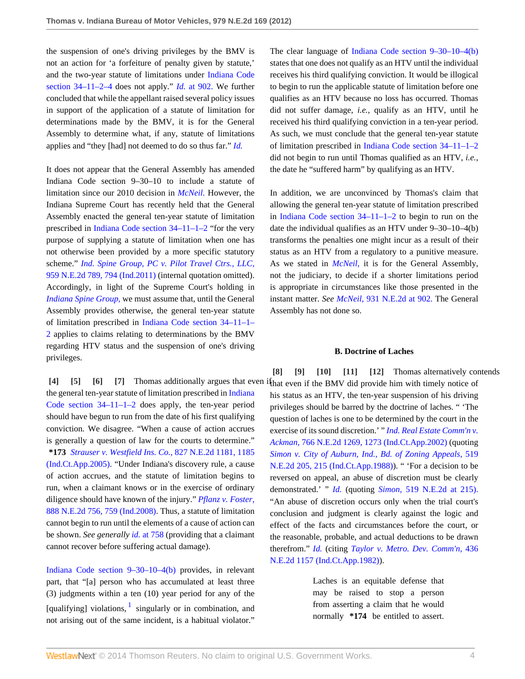the suspension of one's driving privileges by the BMV is not an action for 'a forfeiture of penalty given by statute,' and the two-year statute of limitations under [Indiana Code](http://www.westlaw.com/Link/Document/FullText?findType=L&pubNum=1000009&cite=INS34-11-2-4&originatingDoc=I810a26eb399611e28a21ccb9036b2470&refType=LQ&originationContext=document&vr=3.0&rs=cblt1.0&transitionType=DocumentItem&contextData=(sc.Search)) [section 34–11–2–4](http://www.westlaw.com/Link/Document/FullText?findType=L&pubNum=1000009&cite=INS34-11-2-4&originatingDoc=I810a26eb399611e28a21ccb9036b2470&refType=LQ&originationContext=document&vr=3.0&rs=cblt1.0&transitionType=DocumentItem&contextData=(sc.Search)) does not apply." *Id.* [at 902.](http://www.westlaw.com/Link/Document/FullText?findType=Y&serNum=2022703596&originationContext=document&vr=3.0&rs=cblt1.0&transitionType=DocumentItem&contextData=(sc.Search)) We further concluded that while the appellant raised several policy issues in support of the application of a statute of limitation for determinations made by the BMV, it is for the General Assembly to determine what, if any, statute of limitations applies and "they [had] not deemed to do so thus far." *[Id.](http://www.westlaw.com/Link/Document/FullText?findType=Y&serNum=2022703596&originationContext=document&vr=3.0&rs=cblt1.0&transitionType=DocumentItem&contextData=(sc.Search))*

It does not appear that the General Assembly has amended Indiana Code section 9–30–10 to include a statute of limitation since our 2010 decision in *[McNeil.](http://www.westlaw.com/Link/Document/FullText?findType=Y&serNum=2022703596&originationContext=document&vr=3.0&rs=cblt1.0&transitionType=DocumentItem&contextData=(sc.Search))* However, the Indiana Supreme Court has recently held that the General Assembly enacted the general ten-year statute of limitation prescribed in [Indiana Code section 34–11–1–2](http://www.westlaw.com/Link/Document/FullText?findType=L&pubNum=1000009&cite=INS34-11-1-2&originatingDoc=I810a26eb399611e28a21ccb9036b2470&refType=LQ&originationContext=document&vr=3.0&rs=cblt1.0&transitionType=DocumentItem&contextData=(sc.Search)) "for the very purpose of supplying a statute of limitation when one has not otherwise been provided by a more specific statutory scheme." *[Ind. Spine Group, PC v. Pilot Travel Ctrs., LLC,](http://www.westlaw.com/Link/Document/FullText?findType=Y&serNum=2026528924&pubNum=578&fi=co_pp_sp_578_794&originationContext=document&vr=3.0&rs=cblt1.0&transitionType=DocumentItem&contextData=(sc.Search)#co_pp_sp_578_794)* [959 N.E.2d 789, 794 \(Ind.2011\)](http://www.westlaw.com/Link/Document/FullText?findType=Y&serNum=2026528924&pubNum=578&fi=co_pp_sp_578_794&originationContext=document&vr=3.0&rs=cblt1.0&transitionType=DocumentItem&contextData=(sc.Search)#co_pp_sp_578_794) (internal quotation omitted). Accordingly, in light of the Supreme Court's holding in *[Indiana Spine Group,](http://www.westlaw.com/Link/Document/FullText?findType=Y&serNum=2026528924&originationContext=document&vr=3.0&rs=cblt1.0&transitionType=DocumentItem&contextData=(sc.Search))* we must assume that, until the General Assembly provides otherwise, the general ten-year statute of limitation prescribed in [Indiana Code section 34–11–1–](http://www.westlaw.com/Link/Document/FullText?findType=L&pubNum=1000009&cite=INS34-11-1-2&originatingDoc=I810a26eb399611e28a21ccb9036b2470&refType=LQ&originationContext=document&vr=3.0&rs=cblt1.0&transitionType=DocumentItem&contextData=(sc.Search)) [2](http://www.westlaw.com/Link/Document/FullText?findType=L&pubNum=1000009&cite=INS34-11-1-2&originatingDoc=I810a26eb399611e28a21ccb9036b2470&refType=LQ&originationContext=document&vr=3.0&rs=cblt1.0&transitionType=DocumentItem&contextData=(sc.Search)) applies to claims relating to determinations by the BMV regarding HTV status and the suspension of one's driving privileges.

the general ten-year statute of limitation prescribed in [Indiana](http://www.westlaw.com/Link/Document/FullText?findType=L&pubNum=1000009&cite=INS34-11-1-2&originatingDoc=I810a26eb399611e28a21ccb9036b2470&refType=LQ&originationContext=document&vr=3.0&rs=cblt1.0&transitionType=DocumentItem&contextData=(sc.Search)) [Code section 34–11–1–2](http://www.westlaw.com/Link/Document/FullText?findType=L&pubNum=1000009&cite=INS34-11-1-2&originatingDoc=I810a26eb399611e28a21ccb9036b2470&refType=LQ&originationContext=document&vr=3.0&rs=cblt1.0&transitionType=DocumentItem&contextData=(sc.Search)) does apply, the ten-year period should have begun to run from the date of his first qualifying conviction. We disagree. "When a cause of action accrues is generally a question of law for the courts to determine." **\*173** *[Strauser v. Westfield Ins. Co.,](http://www.westlaw.com/Link/Document/FullText?findType=Y&serNum=2006664468&pubNum=578&fi=co_pp_sp_578_1185&originationContext=document&vr=3.0&rs=cblt1.0&transitionType=DocumentItem&contextData=(sc.Search)#co_pp_sp_578_1185)* 827 N.E.2d 1181, 1185 [\(Ind.Ct.App.2005\)](http://www.westlaw.com/Link/Document/FullText?findType=Y&serNum=2006664468&pubNum=578&fi=co_pp_sp_578_1185&originationContext=document&vr=3.0&rs=cblt1.0&transitionType=DocumentItem&contextData=(sc.Search)#co_pp_sp_578_1185). "Under Indiana's discovery rule, a cause of action accrues, and the statute of limitation begins to run, when a claimant knows or in the exercise of ordinary diligence should have known of the injury." *[Pflanz v. Foster,](http://www.westlaw.com/Link/Document/FullText?findType=Y&serNum=2016341595&pubNum=578&fi=co_pp_sp_578_759&originationContext=document&vr=3.0&rs=cblt1.0&transitionType=DocumentItem&contextData=(sc.Search)#co_pp_sp_578_759)* [888 N.E.2d 756, 759 \(Ind.2008\)](http://www.westlaw.com/Link/Document/FullText?findType=Y&serNum=2016341595&pubNum=578&fi=co_pp_sp_578_759&originationContext=document&vr=3.0&rs=cblt1.0&transitionType=DocumentItem&contextData=(sc.Search)#co_pp_sp_578_759). Thus, a statute of limitation cannot begin to run until the elements of a cause of action can be shown. *See generally id.* [at 758](http://www.westlaw.com/Link/Document/FullText?findType=Y&serNum=2016341595&originationContext=document&vr=3.0&rs=cblt1.0&transitionType=DocumentItem&contextData=(sc.Search)) (providing that a claimant cannot recover before suffering actual damage).

<span id="page-3-9"></span>[Indiana Code section 9–30–10–4\(b\)](http://www.westlaw.com/Link/Document/FullText?findType=L&pubNum=1000009&cite=INS9-30-10-4&originatingDoc=I810a26eb399611e28a21ccb9036b2470&refType=SP&originationContext=document&vr=3.0&rs=cblt1.0&transitionType=DocumentItem&contextData=(sc.Search)#co_pp_a83b000018c76) provides, in relevant part, that "[a] person who has accumulated at least three (3) judgments within a ten (10) year period for any of the [qualifying] violations,  $\frac{1}{1}$  $\frac{1}{1}$  $\frac{1}{1}$  singularly or in combination, and not arising out of the same incident, is a habitual violator." The clear language of [Indiana Code section 9–30–10–4\(b\)](http://www.westlaw.com/Link/Document/FullText?findType=L&pubNum=1000009&cite=INS9-30-10-4&originatingDoc=I810a26eb399611e28a21ccb9036b2470&refType=SP&originationContext=document&vr=3.0&rs=cblt1.0&transitionType=DocumentItem&contextData=(sc.Search)#co_pp_a83b000018c76) states that one does not qualify as an HTV until the individual receives his third qualifying conviction. It would be illogical to begin to run the applicable statute of limitation before one qualifies as an HTV because no loss has occurred. Thomas did not suffer damage, *i.e.,* qualify as an HTV, until he received his third qualifying conviction in a ten-year period. As such, we must conclude that the general ten-year statute of limitation prescribed in [Indiana Code section 34–11–1–2](http://www.westlaw.com/Link/Document/FullText?findType=L&pubNum=1000009&cite=INS34-11-1-2&originatingDoc=I810a26eb399611e28a21ccb9036b2470&refType=LQ&originationContext=document&vr=3.0&rs=cblt1.0&transitionType=DocumentItem&contextData=(sc.Search)) did not begin to run until Thomas qualified as an HTV, *i.e.,* the date he "suffered harm" by qualifying as an HTV.

In addition, we are unconvinced by Thomas's claim that allowing the general ten-year statute of limitation prescribed in [Indiana Code section 34–11–1–2](http://www.westlaw.com/Link/Document/FullText?findType=L&pubNum=1000009&cite=INS34-11-1-2&originatingDoc=I810a26eb399611e28a21ccb9036b2470&refType=LQ&originationContext=document&vr=3.0&rs=cblt1.0&transitionType=DocumentItem&contextData=(sc.Search)) to begin to run on the date the individual qualifies as an HTV under 9–30–10–4(b) transforms the penalties one might incur as a result of their status as an HTV from a regulatory to a punitive measure. As we stated in *[McNeil,](http://www.westlaw.com/Link/Document/FullText?findType=Y&serNum=2022703596&originationContext=document&vr=3.0&rs=cblt1.0&transitionType=DocumentItem&contextData=(sc.Search))* it is for the General Assembly, not the judiciary, to decide if a shorter limitations period is appropriate in circumstances like those presented in the instant matter. *See McNeil,* [931 N.E.2d at 902.](http://www.westlaw.com/Link/Document/FullText?findType=Y&serNum=2022703596&pubNum=578&fi=co_pp_sp_578_902&originationContext=document&vr=3.0&rs=cblt1.0&transitionType=DocumentItem&contextData=(sc.Search)#co_pp_sp_578_902) The General Assembly has not done so.

## <span id="page-3-8"></span><span id="page-3-7"></span><span id="page-3-6"></span><span id="page-3-5"></span><span id="page-3-4"></span>**B. Doctrine of Laches**

<span id="page-3-3"></span><span id="page-3-2"></span><span id="page-3-1"></span><span id="page-3-0"></span>**[\[4\]](#page-0-1) [\[5\]](#page-0-4) [\[6\]](#page-0-5) [\[7](#page-1-0)]** Thomas additionally argues that even if that even if the BMV did provide him with timely notice of **[\[8\]](#page-1-1) [\[9](#page-1-2)] [\[10\]](#page-1-3) [\[11\]](#page-1-4) [\[12\]](#page-1-5)** Thomas alternatively contends his status as an HTV, the ten-year suspension of his driving privileges should be barred by the doctrine of laches. " 'The question of laches is one to be determined by the court in the exercise of its sound discretion.' " *[Ind. Real Estate Comm'n v.](http://www.westlaw.com/Link/Document/FullText?findType=Y&serNum=2002279751&pubNum=578&fi=co_pp_sp_578_1273&originationContext=document&vr=3.0&rs=cblt1.0&transitionType=DocumentItem&contextData=(sc.Search)#co_pp_sp_578_1273) Ackman,* [766 N.E.2d 1269, 1273 \(Ind.Ct.App.2002\)](http://www.westlaw.com/Link/Document/FullText?findType=Y&serNum=2002279751&pubNum=578&fi=co_pp_sp_578_1273&originationContext=document&vr=3.0&rs=cblt1.0&transitionType=DocumentItem&contextData=(sc.Search)#co_pp_sp_578_1273) (quoting *[Simon v. City of Auburn, Ind., Bd. of Zoning Appeals,](http://www.westlaw.com/Link/Document/FullText?findType=Y&serNum=1988024690&pubNum=578&fi=co_pp_sp_578_215&originationContext=document&vr=3.0&rs=cblt1.0&transitionType=DocumentItem&contextData=(sc.Search)#co_pp_sp_578_215)* 519 [N.E.2d 205, 215 \(Ind.Ct.App.1988\)](http://www.westlaw.com/Link/Document/FullText?findType=Y&serNum=1988024690&pubNum=578&fi=co_pp_sp_578_215&originationContext=document&vr=3.0&rs=cblt1.0&transitionType=DocumentItem&contextData=(sc.Search)#co_pp_sp_578_215)). " 'For a decision to be reversed on appeal, an abuse of discretion must be clearly demonstrated.' " *[Id.](http://www.westlaw.com/Link/Document/FullText?findType=Y&serNum=2002279751&originationContext=document&vr=3.0&rs=cblt1.0&transitionType=DocumentItem&contextData=(sc.Search))* (quoting *Simon,* [519 N.E.2d at 215\).](http://www.westlaw.com/Link/Document/FullText?findType=Y&serNum=1988024690&pubNum=578&fi=co_pp_sp_578_215&originationContext=document&vr=3.0&rs=cblt1.0&transitionType=DocumentItem&contextData=(sc.Search)#co_pp_sp_578_215) "An abuse of discretion occurs only when the trial court's conclusion and judgment is clearly against the logic and effect of the facts and circumstances before the court, or the reasonable, probable, and actual deductions to be drawn therefrom." *[Id.](http://www.westlaw.com/Link/Document/FullText?findType=Y&serNum=2002279751&originationContext=document&vr=3.0&rs=cblt1.0&transitionType=DocumentItem&contextData=(sc.Search))* (citing *[Taylor v. Metro. Dev. Comm'n,](http://www.westlaw.com/Link/Document/FullText?findType=Y&serNum=1982129236&pubNum=578&originationContext=document&vr=3.0&rs=cblt1.0&transitionType=DocumentItem&contextData=(sc.Search))* 436 [N.E.2d 1157 \(Ind.Ct.App.1982\)](http://www.westlaw.com/Link/Document/FullText?findType=Y&serNum=1982129236&pubNum=578&originationContext=document&vr=3.0&rs=cblt1.0&transitionType=DocumentItem&contextData=(sc.Search))).

> Laches is an equitable defense that may be raised to stop a person from asserting a claim that he would normally **\*174** be entitled to assert.